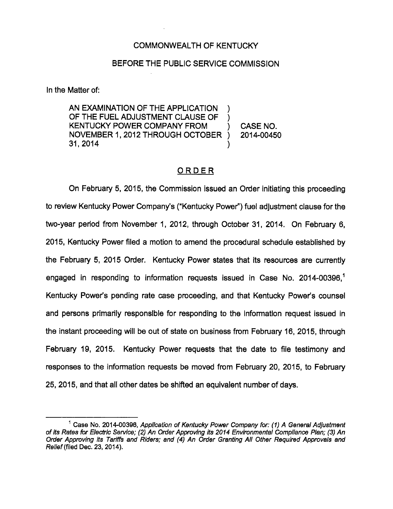#### COMMONWEALTH OF KENTUCKY

#### BEFORE THE PUBLIC SERVICE COMMISSION

In the Matter of:

AN EXAMINATION OF THE APPLICATION OF THE FUEL ADJUSTMENT CLAUSE OF KENTUCKY POWER COMPANY FROM NOVEMBER 1, 2012 THROUGH OCTOBER 31,2014

CASE NO. 2014-00450

### ORDER

On February 5, 2015, the Commission issued an Order Initiating this proceeding to review Kentucky Power Company's ("Kentucky Power") fuel adjustment clause for the two-year period from November 1, 2012, through October 31, 2014. On February 6, 2015, Kentucky Power filed a motion to amend the procedural schedule established by the February 5, 2015 Order. Kentucky Power states that its resources are currently engaged in responding to information requests issued in Case No. 2014-00396.<sup>1</sup> Kentucky Power's pending rate case proceeding, and that Kentucky Power's counsel and persons primarily responsible for responding to the Information request issued In the instant proceeding will be out of state on business from February 16, 2015, through February 19, 2015. Kentucky Power requests that the date to file testimony and responses to the information requests be moved from February 20, 2015, to February 25, 2015, and that all other dates be shifted an equivalent number of days.

 $<sup>1</sup>$  Case No. 2014-00396, Application of Kentucky Power Company for: (1) A General Adjustment</sup> of Its Rates for Electric Service; (2) An Order Approving its 2014 Environmental Compliance Plan; (3) An Order Approving Its Tariffs and Riders; and (4) An Order Granting All Other Required Approvals and Relief (filed Dec. 23, 2014).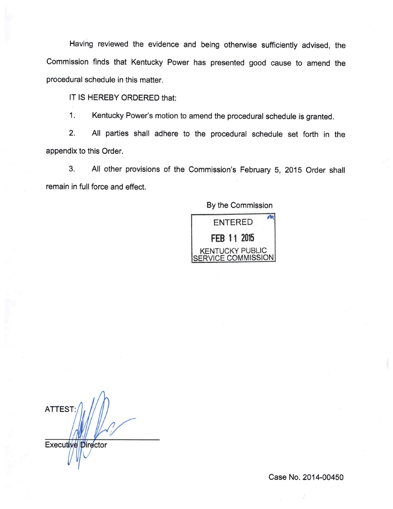Having reviewed the evidence and being otherwise sufficientiy advised, the Commission finds that Kentucky Power has presented good cause to amend the procedurai schedule in this matter.

IT IS HEREBY ORDERED that:

1. Kentucky Power's motion to amend the procedural schedule is granted.

2. Ail parties shall adhere to the procedural schedule set forth in the appendix to this Order.

3. Ail other provisions of the Commission's February 5, 2015 Order shall remain in full force and effect.

### By the Commission



ATTEST;

Executive Director

Case No. 2014-00450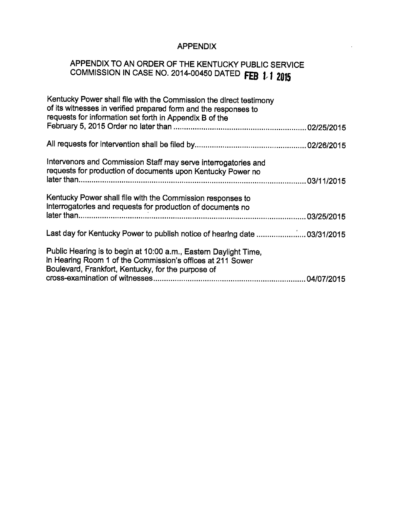## APPENDIX

# APPENDIX TO AN ORDER OF THE KENTUCKY PUBLIC SERVICE COMMISSION IN CASE NO. 2014-00450 DATED FEB 1 1 2015

| Kentucky Power shall file with the Commission the direct testimony<br>of its witnesses in verified prepared form and the responses to<br>requests for information set forth in Appendix B of the |  |
|--------------------------------------------------------------------------------------------------------------------------------------------------------------------------------------------------|--|
|                                                                                                                                                                                                  |  |
|                                                                                                                                                                                                  |  |
| Intervenors and Commission Staff may serve interrogatories and<br>requests for production of documents upon Kentucky Power no                                                                    |  |
|                                                                                                                                                                                                  |  |
| Kentucky Power shall file with the Commission responses to<br>interrogatorles and requests for production of documents no                                                                        |  |
|                                                                                                                                                                                                  |  |
| Last day for Kentucky Power to publish notice of hearing date  03/31/2015                                                                                                                        |  |
| Public Hearing is to begin at 10:00 a.m., Eastern Daylight Time,<br>in Hearing Room 1 of the Commission's offices at 211 Sower<br>Boulevard, Frankfort, Kentucky, for the purpose of             |  |
|                                                                                                                                                                                                  |  |